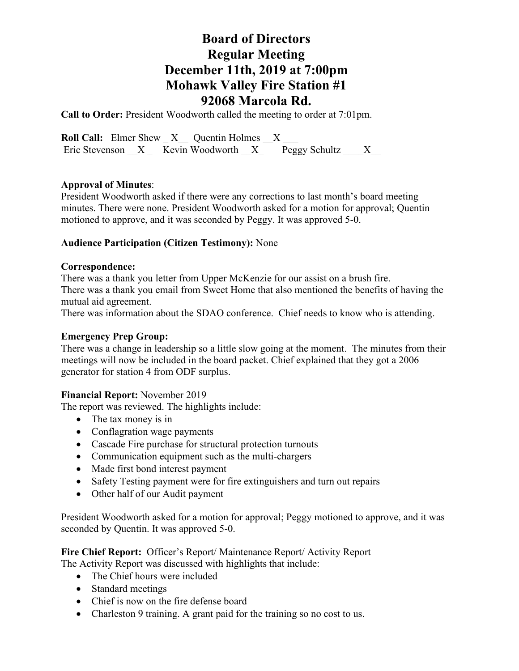# **Board of Directors Regular Meeting December 11th, 2019 at 7:00pm Mohawk Valley Fire Station #1 92068 Marcola Rd.**

**Call to Order:** President Woodworth called the meeting to order at 7:01pm.

**Roll Call:** Elmer Shew  $X$  Quentin Holmes X Eric Stevenson  $X = \overline{\text{Kevin}}$  Woodworth  $X = \overline{\text{Peggy}}$  Schultz  $X = \overline{\text{Covin}}$ 

# **Approval of Minutes**:

President Woodworth asked if there were any corrections to last month's board meeting minutes. There were none. President Woodworth asked for a motion for approval; Quentin motioned to approve, and it was seconded by Peggy. It was approved 5-0.

# **Audience Participation (Citizen Testimony):** None

## **Correspondence:**

There was a thank you letter from Upper McKenzie for our assist on a brush fire. There was a thank you email from Sweet Home that also mentioned the benefits of having the mutual aid agreement.

There was information about the SDAO conference. Chief needs to know who is attending.

### **Emergency Prep Group:**

There was a change in leadership so a little slow going at the moment. The minutes from their meetings will now be included in the board packet. Chief explained that they got a 2006 generator for station 4 from ODF surplus.

## **Financial Report:** November 2019

The report was reviewed. The highlights include:

- The tax money is in
- Conflagration wage payments
- Cascade Fire purchase for structural protection turnouts
- Communication equipment such as the multi-chargers
- Made first bond interest payment
- Safety Testing payment were for fire extinguishers and turn out repairs
- Other half of our Audit payment

President Woodworth asked for a motion for approval; Peggy motioned to approve, and it was seconded by Quentin. It was approved 5-0.

**Fire Chief Report:** Officer's Report/ Maintenance Report/ Activity Report The Activity Report was discussed with highlights that include:

- The Chief hours were included
- Standard meetings
- Chief is now on the fire defense board
- Charleston 9 training. A grant paid for the training so no cost to us.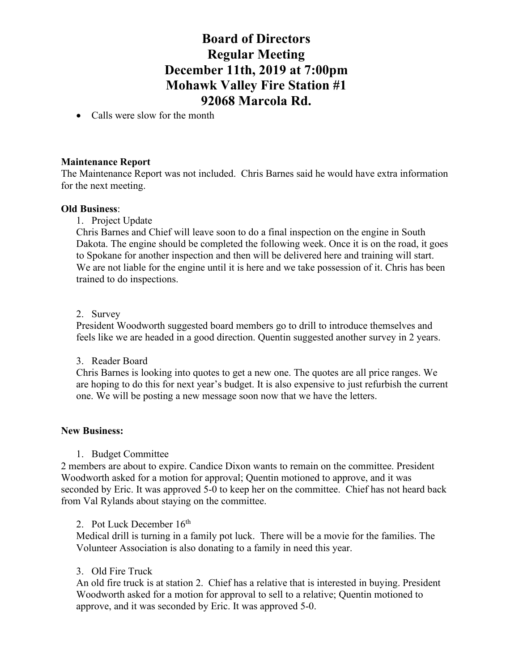# **Board of Directors Regular Meeting December 11th, 2019 at 7:00pm Mohawk Valley Fire Station #1 92068 Marcola Rd.**

• Calls were slow for the month

### **Maintenance Report**

The Maintenance Report was not included. Chris Barnes said he would have extra information for the next meeting.

#### **Old Business**:

1. Project Update

Chris Barnes and Chief will leave soon to do a final inspection on the engine in South Dakota. The engine should be completed the following week. Once it is on the road, it goes to Spokane for another inspection and then will be delivered here and training will start. We are not liable for the engine until it is here and we take possession of it. Chris has been trained to do inspections.

#### 2. Survey

President Woodworth suggested board members go to drill to introduce themselves and feels like we are headed in a good direction. Quentin suggested another survey in 2 years.

#### 3. Reader Board

Chris Barnes is looking into quotes to get a new one. The quotes are all price ranges. We are hoping to do this for next year's budget. It is also expensive to just refurbish the current one. We will be posting a new message soon now that we have the letters.

## **New Business:**

1. Budget Committee

2 members are about to expire. Candice Dixon wants to remain on the committee. President Woodworth asked for a motion for approval; Quentin motioned to approve, and it was seconded by Eric. It was approved 5-0 to keep her on the committee. Chief has not heard back from Val Rylands about staying on the committee.

## 2. Pot Luck December 16<sup>th</sup>

Medical drill is turning in a family pot luck. There will be a movie for the families. The Volunteer Association is also donating to a family in need this year.

## 3. Old Fire Truck

An old fire truck is at station 2. Chief has a relative that is interested in buying. President Woodworth asked for a motion for approval to sell to a relative; Quentin motioned to approve, and it was seconded by Eric. It was approved 5-0.